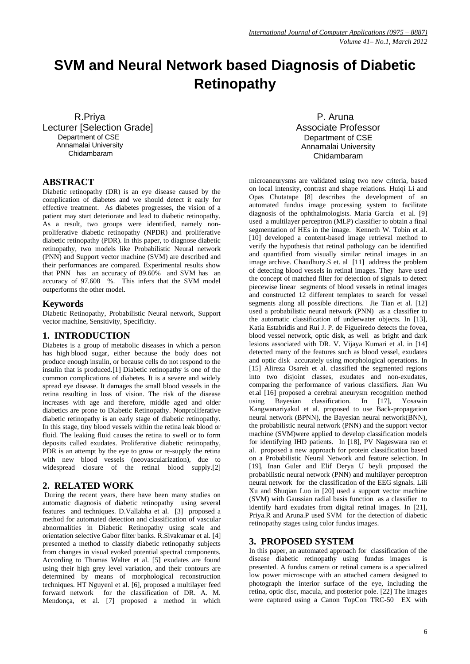# **SVM and Neural Network based Diagnosis of Diabetic Retinopathy**

 R.Priya Lecturer [Selection Grade] Department of CSE Annamalai University Chidambaram

# **ABSTRACT**

Diabetic retinopathy (DR) is an eye disease caused by the complication of diabetes and we should detect it early for effective treatment. As diabetes progresses, the vision of a patient may start deteriorate and lead to diabetic retinopathy. As a result, two groups were identified, namely nonproliferative diabetic retinopathy (NPDR) and proliferative diabetic retinopathy (PDR). In this paper, to diagnose diabetic retinopathy, two models like Probabilistic Neural network (PNN) and Support vector machine (SVM) are described and their performances are compared. Experimental results show that PNN has an accuracy of 89.60% and SVM has an accuracy of 97.608 %. This infers that the SVM model outperforms the other model.

# **Keywords**

Diabetic Retinopathy, Probabilistic Neural network, Support vector machine, Sensitivity, Specificity.

# **1. INTRODUCTION**

Diabetes is a group of metabolic diseases in which a person has high blood sugar, either because the body does not produce enough insulin, or because cells do not respond to the insulin that is produced.[1] Diabetic retinopathy is one of the common complications of diabetes. It is a severe and widely spread eye disease. It damages the small blood vessels in the retina resulting in loss of vision. The risk of the disease increases with age and therefore, middle aged and older diabetics are prone to Diabetic Retinopathy. Nonproliferative diabetic retinopathy is an early stage of diabetic retinopathy. In this stage, tiny blood vessels within the retina leak blood or fluid. The leaking fluid causes the retina to swell or to form deposits called exudates. Proliferative diabetic retinopathy, PDR is an attempt by the eye to grow or re-supply the retina with new blood vessels (neovascularization), due to widespread closure of the retinal blood supply.[2]

# **2. RELATED WORK**

During the recent years, there have been many studies on automatic diagnosis of diabetic retinopathy using several features and techniques. D.Vallabha et al. [3] proposed a method for automated detection and classification of vascular abnormalities in Diabetic Retinopathy using scale and orientation selective Gabor filter banks. R.Sivakumar et al. [4] presented a method to classify diabetic retinopathy subjects from changes in visual evoked potential spectral components. According to Thomas Walter et al. [5] exudates are found using their high grey level variation, and their contours are determined by means of morphological reconstruction techniques. HT Nguyenl et al. [6], proposed a multilayer feed forward network for the classification of DR. A. M. Mendonça, et al. [7] proposed a method in which

 P. Aruna Associate Professor Department of CSE Annamalai University Chidambaram

microaneurysms are validated using two new criteria, based on local intensity, contrast and shape relations. Huiqi Li and Opas Chutatape [8] describes the development of an automated fundus image processing system to facilitate diagnosis of the ophthalmologists. María García et al. [9] used a multilayer perceptron (MLP) classifier to obtain a final segmentation of HEs in the image. Kenneth W. Tobin et al. [10] developed a content-based image retrieval method to verify the hypothesis that retinal pathology can be identified and quantified from visually similar retinal images in an image archive. Chaudhury.S et. al [11] address the problem of detecting blood vessels in retinal images. They have used the concept of matched filter for detection of signals to detect piecewise linear segments of blood vessels in retinal images and constructed 12 different templates to search for vessel segments along all possible directions. Jie Tian et al. [12] used a probabilistic neural network (PNN) as a classifier to the automatic classification of underwater objects. In [13], Katia Estabridis and Rui J. P. de Figueiredo detects the fovea, blood vessel network, optic disk, as well as bright and dark lesions associated with DR. V. Vijaya Kumari et al. in [14] detected many of the features such as blood vessel, exudates and optic disk accurately using morphological operations. In [15] Alireza Osareh et al. classified the segmented regions into two disjoint classes, exudates and non-exudates, comparing the performance of various classifiers. Jian Wu et.al [16] proposed a cerebral aneurysm recognition method using Bayesian classification. In [17], Yosawin Kangwanariyakul et al. proposed to use Back-propagation neural network (BPNN), the Bayesian neural network(BNN), the probabilistic neural network (PNN) and the support vector machine (SVM)were applied to develop classification models for identifying IHD patients. In [18], PV Nageswara rao et al. proposed a new approach for protein classification based on a Probabilistic Neural Network and feature selection. In [19], Inan Guler and Elif Derya U beyli proposed the probabilistic neural network (PNN) and multilayer perceptron neural network for the classification of the EEG signals. Lili Xu and Shuqian Luo in [20] used a support vector machine (SVM) with Gaussian radial basis function as a classifier to identify hard exudates from digital retinal images. In [21], Priya.R and Aruna.P used SVM for the detection of diabetic retinopathy stages using color fundus images.

# **3. PROPOSED SYSTEM**

In this paper, an automated approach for classification of the disease diabetic retinopathy using fundus images is presented. A fundus camera or retinal camera is a specialized low power microscope with an attached camera designed to photograph the interior surface of the eye, including the retina, optic disc, macula, and posterior pole. [22] The images were captured using a Canon TopCon TRC-50 EX with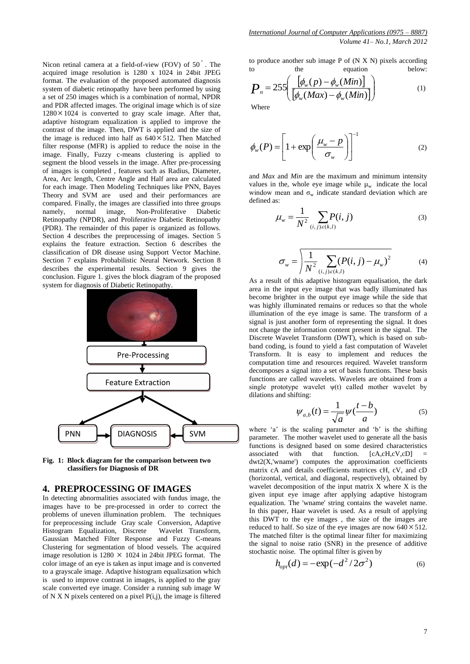Nicon retinal camera at a field-of-view (FOV) of 50°. The acquired image resolution is 1280 x 1024 in 24bit JPEG format. The evaluation of the proposed automated diagnosis system of diabetic retinopathy have been performed by using a set of 250 images which is a combination of normal, NPDR and PDR affected images. The original image which is of size  $1280 \times 1024$  is converted to gray scale image. After that, adaptive histogram equalization is applied to improve the contrast of the image. Then, DWT is applied and the size of the image is reduced into half as  $640 \times 512$ . Then Matched filter response (MFR) is applied to reduce the noise in the image. Finally, Fuzzy c-means clustering is applied to segment the blood vessels in the image. After pre-processing of images is completed , features such as Radius, Diameter, Area, Arc length, Centre Angle and Half area are calculated for each image. Then Modeling Techniques like PNN, Bayes Theory and SVM are used and their performances are compared. Finally, the images are classified into three groups namely, normal image, Non-Proliferative Diabetic Retinopathy (NPDR), and Proliferative Diabetic Retinopathy (PDR). The remainder of this paper is organized as follows. Section 4 describes the preprocessing of images. Section 5 explains the feature extraction. Section 6 describes the classification of DR disease using Support Vector Machine. Section 7 explains Probabilistic Neural Network. Section 8 describes the experimental results. Section 9 gives the conclusion. Figure 1. gives the block diagram of the proposed system for diagnosis of Diabetic Retinopathy.



**Fig. 1: Block diagram for the comparison between two classifiers for Diagnosis of DR** 

# **4. PREPROCESSING OF IMAGES**

In detecting abnormalities associated with fundus image, the images have to be pre-processed in order to correct the problems of uneven illumination problem. The techniques for preprocessing include Gray scale Conversion, Adaptive Histogram Equalization, Discrete Wavelet Transform, Gaussian Matched Filter Response and Fuzzy C-means Clustering for segmentation of blood vessels. The acquired image resolution is  $1280 \times 1024$  in 24bit JPEG format. The color image of an eye is taken as input image and is converted to a grayscale image. Adaptive histogram equalizsation which is used to improve contrast in images, is applied to the gray scale converted eye image. Consider a running sub image W of N X N pixels centered on a pixel P(i,j), the image is filtered

to produce another sub image P of (N X N) pixels according to the equation below:

$$
P_n = 255 \left( \frac{\left[ \phi_w(p) - \phi_w(Min) \right]}{\left[ \phi_w(Max) - \phi_w(Min) \right]} \right) \tag{1}
$$

Where

$$
\phi_w(P) = \left[1 + \exp\left(\frac{\mu_w - p}{\sigma_w}\right)\right]^{-1} \tag{2}
$$

and *Max* and *Min* are the maximum and minimum intensity values in the, whole eye image while  $\mu_w$  indicate the local window mean and  $\sigma_w$  indicate standard deviation which are defined as:

$$
\mu_{w} = \frac{1}{N^2} \sum_{(i,j)\in(k,l)} P(i,j) \tag{3}
$$

$$
\sigma_w = \sqrt{\frac{1}{N^2} \sum_{(i,j)\in(k,l)} (P(i,j) - \mu_w)^2}
$$
 (4)

As a result of this adaptive histogram equalisation, the dark area in the input eye image that was badly illuminated has become brighter in the output eye image while the side that was highly illuminated remains or reduces so that the whole illumination of the eye image is same. The transform of a signal is just another form of representing the signal. It does not change the information content present in the signal. The Discrete Wavelet Transform (DWT), which is based on subband coding, is found to yield a fast computation of Wavelet Transform. It is easy to implement and reduces the computation time and resources required. Wavelet transform decomposes a signal into a set of basis functions. These basis functions are called wavelets. Wavelets are obtained from a single prototype wavelet  $\psi(t)$  called mother wavelet by dilations and shifting:

$$
\psi_{a,b}(t) = \frac{1}{\sqrt{a}} \psi(\frac{t-b}{a})
$$
\n(5)

where  $a'$  is the scaling parameter and  $b'$  is the shifting parameter. The mother wavelet used to generate all the basis functions is designed based on some desired characteristics<br>associated with that function. [cA,cH,cV,cD] = associated with that function. [cA,cH,cV,cD] =  $dwt2(X, 'wname')$  computes the approximation coefficients matrix cA and details coefficients matrices cH, cV, and cD (horizontal, vertical, and diagonal, respectively), obtained by wavelet decomposition of the input matrix X where X is the given input eye image after applying adaptive histogram equalization. The 'wname' string contains the wavelet name. In this paper, Haar wavelet is used. As a result of applying this DWT to the eye images , the size of the images are reduced to half. So size of the eye images are now  $640 \times 512$ . The matched filter is the optimal linear filter for maximizing the signal to noise ratio (SNR) in the presence of additive stochastic noise. The optimal filter is given by

$$
h_{opt}(d) = -\exp(-d^2/2\sigma^2)
$$
 (6)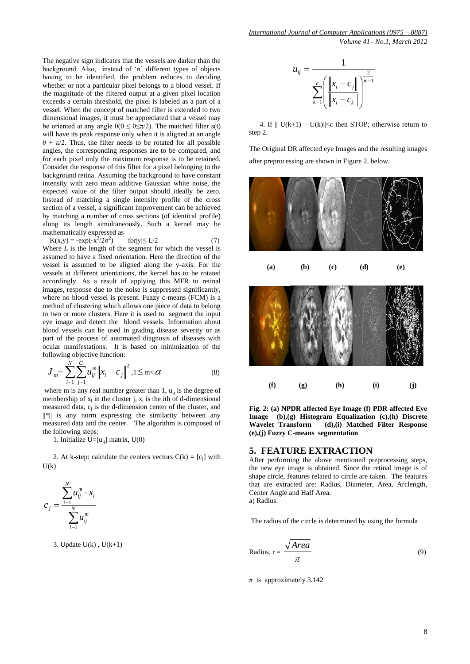The negative sign indicates that the vessels are darker than the background. Also, instead of 'n' different types of objects having to be identified, the problem reduces to deciding whether or not a particular pixel belongs to a blood vessel. If the magnitude of the filtered output at a given pixel location exceeds a certain threshold, the pixel is labeled as a part of a vessel. When the concept of matched filter is extended to two dimensional images, it must be appreciated that a vessel may be oriented at any angle  $\theta(0 \leq \theta \leq \pi/2)$ . The matched filter s(t) will have its peak response only when it is aligned at an angle  $\theta \pm \pi/2$ . Thus, the filter needs to be rotated for all possible angles, the corresponding responses are to be compared, and for each pixel only the maximum response is to be retained. Consider the response of this filter for a pixel belonging to the background retina. Assuming the background to have constant intensity with zero mean additive Gaussian white noise, the expected value of the filter output should ideally be zero. Instead of matching a single intensity profile of the cross section of a vessel, a significant improvement can be achieved by matching a number of cross sections (of identical profile) along its length simultaneously. Such a kernel may be mathematically expressed as

 $K(x,y) = -\exp(-x^2/2\sigma^2)$  $for|y| \le L/2$  (7) Where  $L$  is the length of the segment for which the vessel is assumed to have a fixed orientation. Here the direction of the vessel is assumed to be aligned along the y-axis. For the vessels at different orientations, the kernel has to be rotated accordingly. As a result of applying this MFR to retinal images, response due to the noise is suppressed significantly, where no blood vessel is present. Fuzzy c-means (FCM) is a method of clustering which allows one piece of data to belong to two or more clusters. Here it is used to segment the input eye image and detect the blood vessels. Information about blood vessels can be used in grading disease severity or as part of the process of automated diagnosis of diseases with ocular manifestations. It is based on minimization of the following objective function:

$$
J_{m} = \sum_{i=1}^{N} \sum_{j=1}^{C} u_{ij}^{m} \|x_{i} - c_{j}\|^{2}, 1 \leq m < \alpha
$$
 (8)

where m is any real number greater than 1,  $u_{ii}$  is the degree of membership of  $x_i$  in the cluster j,  $x_i$  is the ith of d-dimensional measured data,  $c_i$  is the d-dimension center of the cluster, and ||\*|| is any norm expressing the similarity between any measured data and the center. The algorithm is composed of the following steps:

1. Initialize  $U=[u_{ii}]$  matrix,  $U(0)$ 

2. At k-step: calculate the centers vectors  $C(k) = [c_j]$  with  $U(k)$ 



3. Update  $U(k)$ ,  $U(k+1)$ 

$$
u_{ij} = \frac{1}{\sum_{k=1}^{c} \left( \frac{\left\| x_i - c_j \right\|}{\left\| x_i - c_k \right\|} \right)^{\frac{2}{m-1}}}
$$

4. If  $||U(k+1) - U(k)|| \leq \epsilon$  then STOP; otherwise return to step 2.

The Original DR affected eye Images and the resulting images after preprocessing are shown in Figure 2. below.



**Fig. 2: (a) NPDR affected Eye Image (f) PDR affected Eye Image (b),(g) Histogram Equalization (c),(h) Discrete Wavelet Transform (d),(i) Matched Filter Response (e),(j) Fuzzy C-means segmentation** 

#### **5. FEATURE EXTRACTION**

After performing the above mentioned preprocessing steps, the new eye image is obtained. Since the retinal image is of shape circle, features related to circle are taken. The features that are extracted are: Radius, Diameter, Area, Arclength, Center Angle and Half Area.

a) Radius:

The radius of the circle is determined by using the formula

Radius, 
$$
r = \frac{\sqrt{Area}}{\pi}
$$
 (9)

*π* is approximately 3.142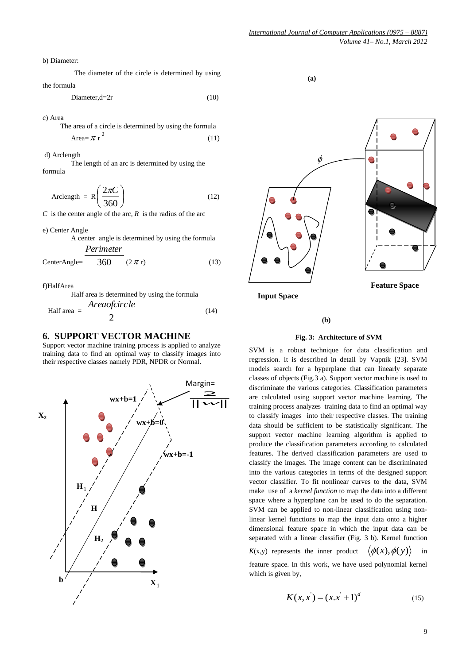b) Diameter:

The diameter of the circle is determined by using the formula

Diameter, $d=2r$  (10)

c) Area

 The area of a circle is determined by using the formula Area= $\pi r^2$ (11)

d) Arclength

The length of an arc is determined by using the formula

$$
\text{Arclength} = R \left( \frac{2\pi C}{360} \right) \tag{12}
$$

*C* is the [center angle](http://www.mathopenref.com/circlecentral.html) of the arc,  $R$  is the [radius](http://www.mathopenref.com/radius.html) of the arc

e) Center Angle

A center angle is determined by using the formula *Perimeter*

$$
CenterAngle = 360 \t(2 \pi r) \t(13)
$$

f)HalfArea

Half area is determined by using the formula

Half area = 
$$
\frac{Areaofcircle}{2}
$$
 (14)

## **6. SUPPORT VECTOR MACHINE**

Support vector machine training process is applied to analyze training data to find an optimal way to classify images into their respective classes namely PDR, NPDR or Normal.



 **(a)**



**Input Space**

#### **(b)**

#### **Fig. 3: Architecture of SVM**

SVM is a robust technique for data classification and regression. It is described in detail by Vapnik [23]. SVM models search for a hyperplane that can linearly separate classes of objects (Fig.3 a). Support vector machine is used to discriminate the various categories. Classification parameters are calculated using support vector machine learning. The training process analyzes training data to find an optimal way to classify images into their respective classes. The training data should be sufficient to be statistically significant. The support vector machine learning algorithm is applied to produce the classification parameters according to calculated features. The derived classification parameters are used to classify the images. The image content can be discriminated into the various categories in terms of the designed support vector classifier. To fit nonlinear curves to the data, SVM make use of a *kernel function* to map the data into a different space where a hyperplane can be used to do the separation. SVM can be applied to non-linear classification using nonlinear kernel functions to map the input data onto a higher dimensional feature space in which the input data can be separated with a linear classifier (Fig. 3 b). Kernel function  $K(x,y)$  represents the inner product  $\langle \phi(x), \phi(y) \rangle$  in

feature space. In this work, we have used polynomial kernel which is given by,

$$
K(x, x^{'}) = (x.x^{'} + 1)^{d}
$$
 (15)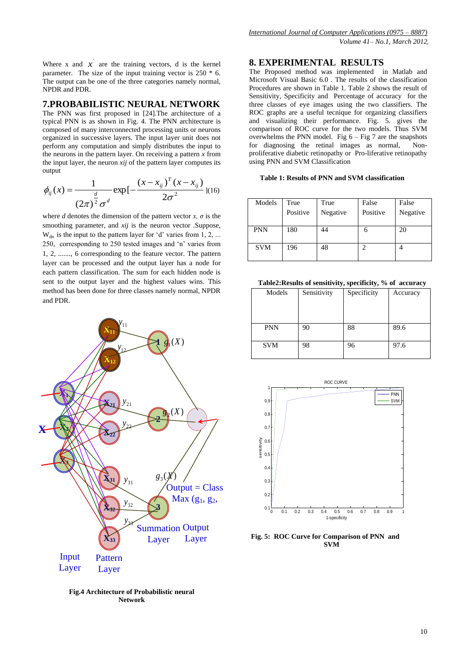Where x and  $\overline{x}$  are the training vectors, d is the kernel parameter. The size of the input training vector is 250 \* 6. The output can be one of the three categories namely normal, NPDR and PDR.

## **7.PROBABILISTIC NEURAL NETWORK**

The PNN was first proposed in [24].The architecture of a typical PNN is as shown in Fig. 4. The PNN architecture is composed of many interconnected processing units or neurons organized in successive layers. The input layer unit does not perform any computation and simply distributes the input to the neurons in the pattern layer. On receiving a pattern *x* from the input layer, the neuron *xij* of the pattern layer computes its output

$$
\phi_{ij}(x) = \frac{1}{(2\pi)^{\frac{d}{2}}\sigma^d} \exp\left[-\frac{(x - x_{ij})^T (x - x_{ij})}{2\sigma^2}\right]^{(16)}
$$

where *d* denotes the dimension of the pattern vector *x*,  $\sigma$  is the smoothing parameter, and *xij* is the neuron vector .Suppose,  $W_{dn}$  is the input to the pattern layer for 'd' varies from 1, 2, ... 250, corresponding to 250 tested images and 'n' varies from 1, 2, ......., 6 corresponding to the feature vector. The pattern layer can be processed and the output layer has a node for each pattern classification. The sum for each hidden node is sent to the output layer and the highest values wins. This method has been done for three classes namely normal, NPDR and PDR.



Fig.4 Architecture of Probabilistic neural **Network** Figure 4. Probablistic 4. Probablistic 4. Probablistic 4. Probablistic 4. Probablistic 4. Probablistic 4. Probablistic 4. Probablistic 4. Probablistic 4. Probablistic 4. Probablistic 4. Probablistic 4. Probablistic 4. Prob

# **8. EXPERIMENTAL RESULTS**

The Proposed method was implemented in Matlab and Microsoft Visual Basic 6.0 . The results of the classification Procedures are shown in Table 1. Table 2 shows the result of Sensitivity, Specificity and Percentage of accuracy for the three classes of eye images using the two classifiers. The ROC graphs are a useful tecnique for organizing classifiers and visualizing their performance. Fig. 5. gives the comparison of ROC curve for the two models. Thus SVM overwhelms the PNN model. Fig  $6 - Fig 7$  are the snapshots for diagnosing the retinal images as normal, Nonproliferative diabetic retinopathy or Pro-liferative retinopathy using PNN and SVM Classification

### **Table 1: Results of PNN and SVM classification**

| Models     | True<br>Positive | True<br>Negative | False<br>Positive | False<br>Negative |
|------------|------------------|------------------|-------------------|-------------------|
| <b>PNN</b> | 180              | 44               | h                 | 20                |
| <b>SVM</b> | 196              | 48               |                   |                   |

 **Table2:Results of sensitivity, specificity, % of accuracy** 

| Models     | Sensitivity | Specificity | Accuracy |
|------------|-------------|-------------|----------|
|            |             |             |          |
|            |             |             |          |
| <b>PNN</b> | 90          | 88          | 89.6     |
|            |             |             |          |
| <b>SVM</b> | 98          | 96          | 97.6     |
|            |             |             |          |



**Fig. 5: ROC Curve for Comparison of PNN and SVM**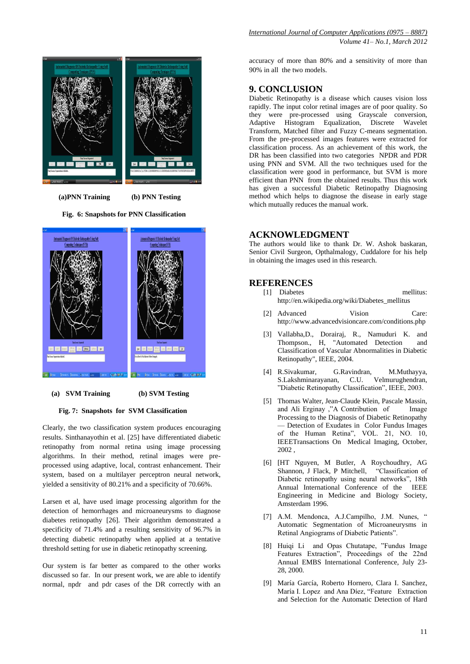

 **(a)PNN Training (b) PNN Testing**

 **Fig. 6: Snapshots for PNN Classification** 



**(a) SVM Training (b) SVM Testing**

#### **Fig. 7: Snapshots for SVM Classification**

Clearly, the two classification system produces encouraging results. Sinthanayothin et al. [25] have differentiated diabetic retinopathy from normal retina using image processing algorithms. In their method, retinal images were preprocessed using adaptive, local, contrast enhancement. Their system, based on a multilayer perceptron neural network, yielded a sensitivity of 80.21% and a specificity of 70.66%.

Larsen et al, have used image processing algorithm for the detection of hemorrhages and microaneurysms to diagnose diabetes retinopathy [26]. Their algorithm demonstrated a specificity of 71.4% and a resulting sensitivity of 96.7% in detecting diabetic retinopathy when applied at a tentative threshold setting for use in diabetic retinopathy screening.

Our system is far better as compared to the other works discussed so far. In our present work, we are able to identify normal, npdr and pdr cases of the DR correctly with an accuracy of more than 80% and a sensitivity of more than 90% in all the two models.

## **9. CONCLUSION**

Diabetic Retinopathy is a disease which causes vision loss rapidly. The input color retinal images are of poor quality. So they were pre-processed using Grayscale conversion, Adaptive Histogram Equalization, Discrete Wavelet Transform, Matched filter and Fuzzy C-means segmentation. From the pre-processed images features were extracted for classification process. As an achievement of this work, the DR has been classified into two categories NPDR and PDR using PNN and SVM. All the two techniques used for the classification were good in performance, but SVM is more efficient than PNN from the obtained results. Thus this work has given a successful Diabetic Retinopathy Diagnosing method which helps to diagnose the disease in early stage which mutually reduces the manual work.

## **ACKNOWLEDGMENT**

The authors would like to thank Dr. W. Ashok baskaran, Senior Civil Surgeon, Opthalmalogy, Cuddalore for his help in obtaining the images used in this research.

# **REFERENCES**

- [1] Diabetes mellitus: http://en.wikipedia.org/wiki/Diabetes\_mellitus
- [2] Advanced Vision Care: http://www.advancedvisioncare.com/conditions.php
- [3] Vallabha,D., Dorairaj, R., Namuduri K. and Thompson., H, "Automated Detection and Classification of Vascular Abnormalities in Diabetic Retinopathy", IEEE, 2004.
- [4] R.Sivakumar, G.Ravindran, M.Muthayya, S.Lakshminarayanan, C.U. Velmurughendran, "Diabetic Retinopathy Classification", IEEE, 2003.
- [5] Thomas Walter, Jean-Claude Klein, Pascale Massin, and Ali Erginay ,"A Contribution of Image Processing to the Diagnosis of Diabetic Retinopathy — Detection of Exudates in Color Fundus Images of the Human Retina", VOL. 21, NO. 10, IEEETransactions On Medical Imaging, October, 2002
- [6] [HT Nguyen, M Butler, A Roychoudhry, AG Shannon, J Flack, P Mitchell, "Classification of Diabetic retinopathy using neural networks", 18th Annual International Conference of the IEEE Engineering in Medicine and Biology Society, Amsterdam 1996.
- [7] A.M. Mendonca, A.J.Campilho, J.M. Nunes, " Automatic Segmentation of Microaneurysms in Retinal Angiograms of Diabetic Patients".
- [8] Huiqi Li and Opas Chutatape, "Fundus Image Features Extraction", Proceedings of the 22nd Annual EMBS International Conference, July 23- 28, 2000.
- [9] María García, Roberto Hornero, Clara I. Sanchez, María I. Lopez and Ana Díez, "Feature Extraction and Selection for the Automatic Detection of Hard